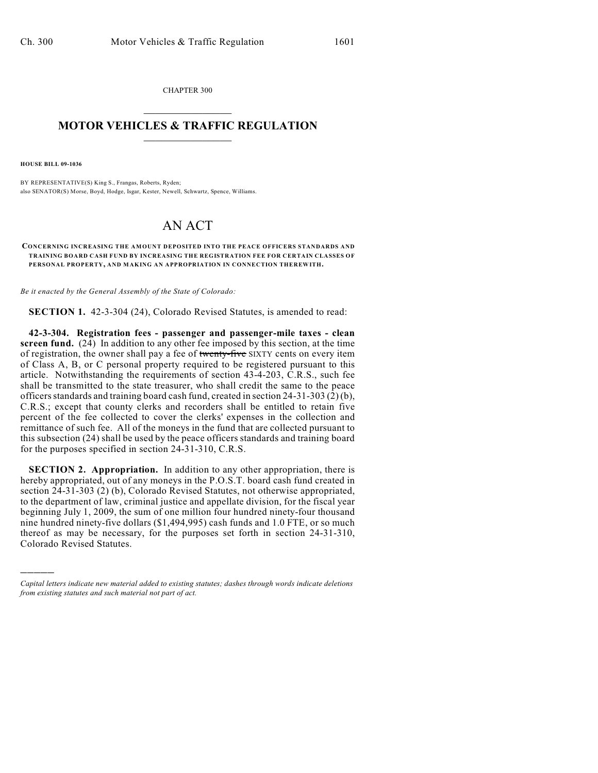CHAPTER 300  $\overline{\phantom{a}}$  . The set of the set of the set of the set of the set of the set of the set of the set of the set of the set of the set of the set of the set of the set of the set of the set of the set of the set of the set o

## **MOTOR VEHICLES & TRAFFIC REGULATION**  $\_$   $\_$   $\_$   $\_$   $\_$   $\_$   $\_$   $\_$   $\_$

**HOUSE BILL 09-1036**

)))))

BY REPRESENTATIVE(S) King S., Frangas, Roberts, Ryden; also SENATOR(S) Morse, Boyd, Hodge, Isgar, Kester, Newell, Schwartz, Spence, Williams.

## AN ACT

## **CONCERNING INCREASING THE AMOUNT DEPOSITED INTO THE PEACE OFFICERS STANDARDS AND TRAINING BOARD CASH FUND BY INCREASING THE REGISTRATION FEE FOR CERTAIN CLASSES OF PERSONAL PROPERTY, AND MAKING AN APPROPRIATION IN CONNECTION THEREWITH.**

*Be it enacted by the General Assembly of the State of Colorado:*

**SECTION 1.** 42-3-304 (24), Colorado Revised Statutes, is amended to read:

**42-3-304. Registration fees - passenger and passenger-mile taxes - clean screen fund.** (24) In addition to any other fee imposed by this section, at the time of registration, the owner shall pay a fee of twenty-five SIXTY cents on every item of Class A, B, or C personal property required to be registered pursuant to this article. Notwithstanding the requirements of section 43-4-203, C.R.S., such fee shall be transmitted to the state treasurer, who shall credit the same to the peace officers standards and training board cash fund, created in section 24-31-303 (2) (b), C.R.S.; except that county clerks and recorders shall be entitled to retain five percent of the fee collected to cover the clerks' expenses in the collection and remittance of such fee. All of the moneys in the fund that are collected pursuant to this subsection (24) shall be used by the peace officers standards and training board for the purposes specified in section 24-31-310, C.R.S.

**SECTION 2. Appropriation.** In addition to any other appropriation, there is hereby appropriated, out of any moneys in the P.O.S.T. board cash fund created in section 24-31-303 (2) (b), Colorado Revised Statutes, not otherwise appropriated, to the department of law, criminal justice and appellate division, for the fiscal year beginning July 1, 2009, the sum of one million four hundred ninety-four thousand nine hundred ninety-five dollars (\$1,494,995) cash funds and 1.0 FTE, or so much thereof as may be necessary, for the purposes set forth in section 24-31-310, Colorado Revised Statutes.

*Capital letters indicate new material added to existing statutes; dashes through words indicate deletions from existing statutes and such material not part of act.*